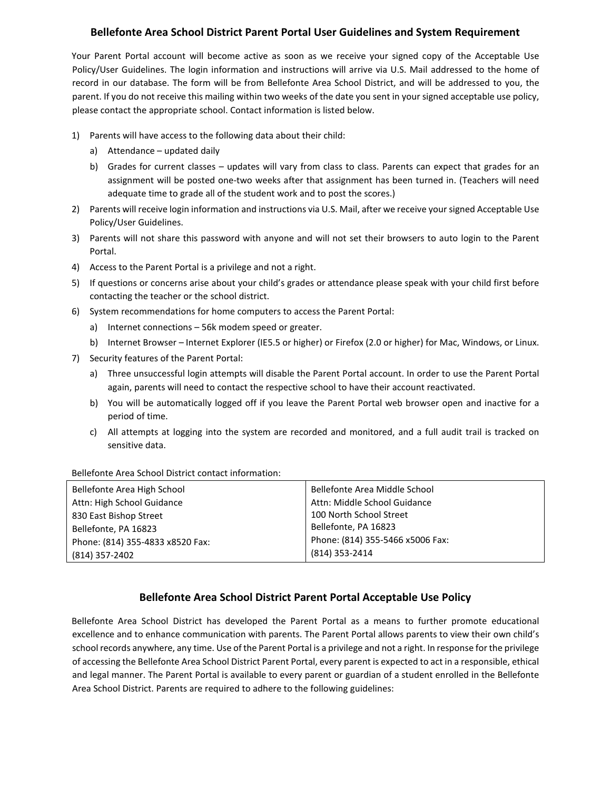## **Bellefonte Area School District Parent Portal User Guidelines and System Requirement**

Your Parent Portal account will become active as soon as we receive your signed copy of the Acceptable Use Policy/User Guidelines. The login information and instructions will arrive via U.S. Mail addressed to the home of record in our database. The form will be from Bellefonte Area School District, and will be addressed to you, the parent. If you do not receive this mailing within two weeks of the date you sent in your signed acceptable use policy, please contact the appropriate school. Contact information is listed below.

- 1) Parents will have access to the following data about their child:
	- a) Attendance updated daily
	- b) Grades for current classes updates will vary from class to class. Parents can expect that grades for an assignment will be posted one‐two weeks after that assignment has been turned in. (Teachers will need adequate time to grade all of the student work and to post the scores.)
- 2) Parents will receive login information and instructions via U.S. Mail, after we receive your signed Acceptable Use Policy/User Guidelines.
- 3) Parents will not share this password with anyone and will not set their browsers to auto login to the Parent Portal.
- 4) Access to the Parent Portal is a privilege and not a right.
- 5) If questions or concerns arise about your child's grades or attendance please speak with your child first before contacting the teacher or the school district.
- 6) System recommendations for home computers to access the Parent Portal:
	- a) Internet connections 56k modem speed or greater.
	- b) Internet Browser Internet Explorer (IE5.5 or higher) or Firefox (2.0 or higher) for Mac, Windows, or Linux.
- 7) Security features of the Parent Portal:
	- a) Three unsuccessful login attempts will disable the Parent Portal account. In order to use the Parent Portal again, parents will need to contact the respective school to have their account reactivated.
	- b) You will be automatically logged off if you leave the Parent Portal web browser open and inactive for a period of time.
	- c) All attempts at logging into the system are recorded and monitored, and a full audit trail is tracked on sensitive data.

Bellefonte Area School District contact information:

| Bellefonte Area High School      | Bellefonte Area Middle School    |  |
|----------------------------------|----------------------------------|--|
| Attn: High School Guidance       | Attn: Middle School Guidance     |  |
| 830 East Bishop Street           | 100 North School Street          |  |
| Bellefonte, PA 16823             | Bellefonte, PA 16823             |  |
| Phone: (814) 355-4833 x8520 Fax: | Phone: (814) 355-5466 x5006 Fax: |  |
| (814) 357-2402                   | (814) 353-2414                   |  |

## **Bellefonte Area School District Parent Portal Acceptable Use Policy**

Bellefonte Area School District has developed the Parent Portal as a means to further promote educational excellence and to enhance communication with parents. The Parent Portal allows parents to view their own child's school records anywhere, any time. Use of the Parent Portal is a privilege and not a right. In response for the privilege of accessing the Bellefonte Area School District Parent Portal, every parent is expected to act in a responsible, ethical and legal manner. The Parent Portal is available to every parent or guardian of a student enrolled in the Bellefonte Area School District. Parents are required to adhere to the following guidelines: